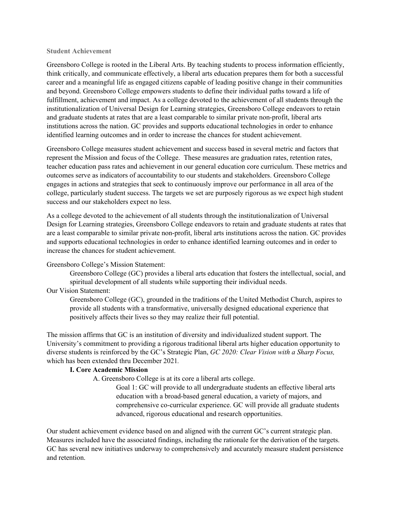#### **Student Achievement**

Greensboro College is rooted in the Liberal Arts. By teaching students to process information efficiently, think critically, and communicate effectively, a liberal arts education prepares them for both a successful career and a meaningful life as engaged citizens capable of leading positive change in their communities and beyond. Greensboro College empowers students to define their individual paths toward a life of fulfillment, achievement and impact. As a college devoted to the achievement of all students through the institutionalization of Universal Design for Learning strategies, Greensboro College endeavors to retain and graduate students at rates that are a least comparable to similar private non-profit, liberal arts institutions across the nation. GC provides and supports educational technologies in order to enhance identified learning outcomes and in order to increase the chances for student achievement.

Greensboro College measures student achievement and success based in several metric and factors that represent the Mission and focus of the College. These measures are graduation rates, retention rates, teacher education pass rates and achievement in our general education core curriculum. These metrics and outcomes serve as indicators of accountability to our students and stakeholders. Greensboro College engages in actions and strategies that seek to continuously improve our performance in all area of the college, particularly student success. The targets we set are purposely rigorous as we expect high student success and our stakeholders expect no less.

As a college devoted to the achievement of all students through the institutionalization of Universal Design for Learning strategies, Greensboro College endeavors to retain and graduate students at rates that are a least comparable to similar private non-profit, liberal arts institutions across the nation. GC provides and supports educational technologies in order to enhance identified learning outcomes and in order to increase the chances for student achievement.

#### Greensboro College's Mission Statement:

Greensboro College (GC) provides a liberal arts education that fosters the intellectual, social, and spiritual development of all students while supporting their individual needs.

# Our Vision Statement:

Greensboro College (GC), grounded in the traditions of the United Methodist Church, aspires to provide all students with a transformative, universally designed educational experience that positively affects their lives so they may realize their full potential.

The mission affirms that GC is an institution of diversity and individualized student support. The University's commitment to providing a rigorous traditional liberal arts higher education opportunity to diverse students is reinforced by the GC's Strategic Plan, *GC 2020: Clear Vision with a Sharp Focus,*  which has been extended thru December 2021*.*

#### **I. Core Academic Mission**

A. Greensboro College is at its core a liberal arts college.

Goal 1: GC will provide to all undergraduate students an effective liberal arts education with a broad-based general education, a variety of majors, and comprehensive co-curricular experience. GC will provide all graduate students advanced, rigorous educational and research opportunities.

Our student achievement evidence based on and aligned with the current GC's current strategic plan. Measures included have the associated findings, including the rationale for the derivation of the targets. GC has several new initiatives underway to comprehensively and accurately measure student persistence and retention.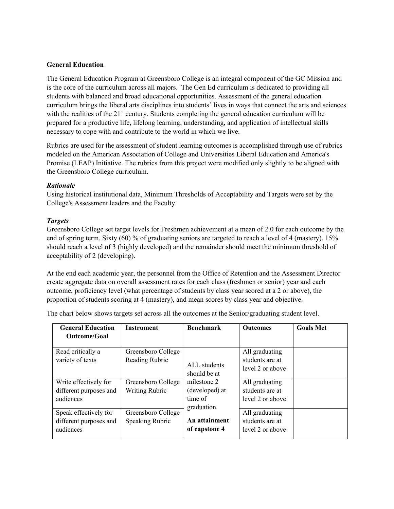### **General Education**

The General Education Program at Greensboro College is an integral component of the GC Mission and is the core of the curriculum across all majors. The Gen Ed curriculum is dedicated to providing all students with balanced and broad educational opportunities. Assessment of the general education curriculum brings the liberal arts disciplines into students' lives in ways that connect the arts and sciences with the realities of the  $21<sup>st</sup>$  century. Students completing the general education curriculum will be prepared for a productive life, lifelong learning, understanding, and application of intellectual skills necessary to cope with and contribute to the world in which we live.

Rubrics are used for the assessment of student learning outcomes is accomplished through use of rubrics modeled on the American Association of College and Universities Liberal Education and America's Promise (LEAP) Initiative. The rubrics from this project were modified only slightly to be aligned with the Greensboro College curriculum.

# *Rationale*

Using historical institutional data, Minimum Thresholds of Acceptability and Targets were set by the College's Assessment leaders and the Faculty.

# *Targets*

Greensboro College set target levels for Freshmen achievement at a mean of 2.0 for each outcome by the end of spring term. Sixty (60) % of graduating seniors are targeted to reach a level of 4 (mastery), 15% should reach a level of 3 (highly developed) and the remainder should meet the minimum threshold of acceptability of 2 (developing).

At the end each academic year, the personnel from the Office of Retention and the Assessment Director create aggregate data on overall assessment rates for each class (freshmen or senior) year and each outcome, proficiency level (what percentage of students by class year scored at a 2 or above), the proportion of students scoring at 4 (mastery), and mean scores by class year and objective.

The chart below shows targets set across all the outcomes at the Senior/graduating student level.

| <b>General Education</b><br>Outcome/Goal                     | <b>Instrument</b>                           | <b>Benchmark</b>                                        | <b>Outcomes</b>                                       | <b>Goals Met</b> |
|--------------------------------------------------------------|---------------------------------------------|---------------------------------------------------------|-------------------------------------------------------|------------------|
| Read critically a<br>variety of texts                        | Greensboro College<br>Reading Rubric        | ALL students<br>should be at                            | All graduating<br>students are at<br>level 2 or above |                  |
| Write effectively for<br>different purposes and<br>audiences | Greensboro College<br><b>Writing Rubric</b> | milestone 2<br>(developed) at<br>time of<br>graduation. | All graduating<br>students are at<br>level 2 or above |                  |
| Speak effectively for<br>different purposes and<br>audiences | Greensboro College<br>Speaking Rubric       | An attainment<br>of capstone 4                          | All graduating<br>students are at<br>level 2 or above |                  |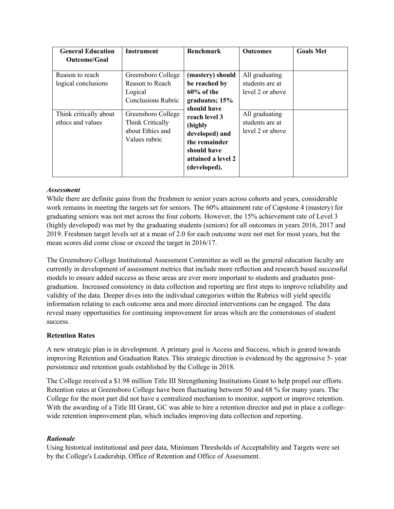| <b>General Education</b><br><b>Outcome/Goal</b> | <b>Instrument</b>                                                             | <b>Benchmark</b>                                                                                                 | <b>Outcomes</b>                                       | <b>Goals Met</b> |
|-------------------------------------------------|-------------------------------------------------------------------------------|------------------------------------------------------------------------------------------------------------------|-------------------------------------------------------|------------------|
| Reason to reach<br>logical conclusions          | Greensboro College<br>Reason to Reach<br>Logical<br><b>Conclusions Rubric</b> | (mastery) should<br>be reached by<br>$60\%$ of the<br>graduates; 15%<br>should have                              | All graduating<br>students are at<br>level 2 or above |                  |
| Think critically about<br>ethics and values     | Greensboro College<br>Think Critically<br>about Ethics and<br>Values rubric   | reach level 3<br>(highly<br>developed) and<br>the remainder<br>should have<br>attained a level 2<br>(developed). | All graduating<br>students are at<br>level 2 or above |                  |

# *Assessment*

While there are definite gains from the freshmen to senior years across cohorts and years, considerable work remains in meeting the targets set for seniors. The 60% attainment rate of Capstone 4 (mastery) for graduating seniors was not met across the four cohorts. However, the 15% achievement rate of Level 3 (highly developed) was met by the graduating students (seniors) for all outcomes in years 2016, 2017 and 2019. Freshmen target levels set at a mean of 2.0 for each outcome were not met for most years, but the mean scores did come close or exceed the target in 2016/17.

The Greensboro College Institutional Assessment Committee as well as the general education faculty are currently in development of assessment metrics that include more reflection and research based successful models to ensure added success as these areas are ever more important to students and graduates postgraduation. Increased consistency in data collection and reporting are first steps to improve reliability and validity of the data. Deeper dives into the individual categories within the Rubrics will yield specific information relating to each outcome area and more directed interventions can be engaged. The data reveal many opportunities for continuing improvement for areas which are the cornerstones of student success.

#### **Retention Rates**

A new strategic plan is in development. A primary goal is Access and Success, which is geared towards improving Retention and Graduation Rates. This strategic direction is evidenced by the aggressive 5- year persistence and retention goals established by the College in 2018.

The College received a \$1.98 million Title III Strengthening Institutions Grant to help propel our efforts. Retention rates at Greensboro College have been fluctuating between 50 and 68 % for many years. The College for the most part did not have a centralized mechanism to monitor, support or improve retention. With the awarding of a Title III Grant, GC was able to hire a retention director and put in place a collegewide retention improvement plan, which includes improving data collection and reporting.

#### *Rationale*

Using historical institutional and peer data, Minimum Thresholds of Acceptability and Targets were set by the College's Leadership, Office of Retention and Office of Assessment.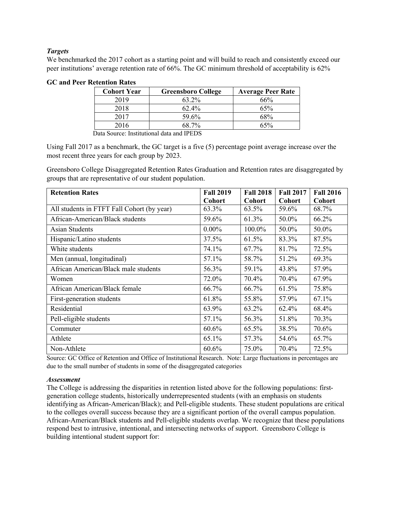# *Targets*

We benchmarked the 2017 cohort as a starting point and will build to reach and consistently exceed our peer institutions' average retention rate of 66%. The GC minimum threshold of acceptability is 62%

| <b>Cohort Year</b> | <b>Greensboro College</b> | <b>Average Peer Rate</b> |
|--------------------|---------------------------|--------------------------|
| 2019               | 63.2%                     | 66%                      |
| 2018               | $62.4\%$                  | 65%                      |
| 2017               | 59.6%                     | 68%                      |
| 2016               | 68.7%                     | 65%                      |

### **GC and Peer Retention Rates**

Data Source: Institutional data and IPEDS

Using Fall 2017 as a benchmark, the GC target is a five (5) percentage point average increase over the most recent three years for each group by 2023.

Greensboro College Disaggregated Retention Rates Graduation and Retention rates are disaggregated by groups that are representative of our student population.

| <b>Retention Rates</b>                     | <b>Fall 2019</b> | <b>Fall 2018</b> | <b>Fall 2017</b> | <b>Fall 2016</b> |
|--------------------------------------------|------------------|------------------|------------------|------------------|
|                                            | Cohort           | <b>Cohort</b>    | <b>Cohort</b>    | Cohort           |
| All students in FTFT Fall Cohort (by year) | 63.3%            | 63.5%            | 59.6%            | 68.7%            |
| African-American/Black students            | 59.6%            | 61.3%            | 50.0%            | 66.2%            |
| Asian Students                             | $0.00\%$         | 100.0%           | 50.0%            | 50.0%            |
| Hispanic/Latino students                   | 37.5%            | 61.5%            | 83.3%            | 87.5%            |
| White students                             | 74.1%            | 67.7%            | 81.7%            | 72.5%            |
| Men (annual, longitudinal)                 | 57.1%            | 58.7%            | 51.2%            | 69.3%            |
| African American/Black male students       | 56.3%            | 59.1%            | 43.8%            | 57.9%            |
| Women                                      | 72.0%            | 70.4%            | 70.4%            | 67.9%            |
| African American/Black female              | 66.7%            | 66.7%            | 61.5%            | 75.8%            |
| First-generation students                  | 61.8%            | 55.8%            | 57.9%            | 67.1%            |
| Residential                                | 63.9%            | 63.2%            | 62.4%            | 68.4%            |
| Pell-eligible students                     | 57.1%            | 56.3%            | 51.8%            | 70.3%            |
| Commuter                                   | 60.6%            | 65.5%            | 38.5%            | 70.6%            |
| Athlete                                    | 65.1%            | 57.3%            | 54.6%            | 65.7%            |
| Non-Athlete                                | 60.6%            | 75.0%            | 70.4%            | 72.5%            |

Source: GC Office of Retention and Office of Institutional Research. Note: Large fluctuations in percentages are due to the small number of students in some of the disaggregated categories

#### *Assessment*

The College is addressing the disparities in retention listed above for the following populations: firstgeneration college students, historically underrepresented students (with an emphasis on students identifying as African-American/Black); and Pell-eligible students. These student populations are critical to the colleges overall success because they are a significant portion of the overall campus population. African-American/Black students and Pell-eligible students overlap. We recognize that these populations respond best to intrusive, intentional, and intersecting networks of support. Greensboro College is building intentional student support for: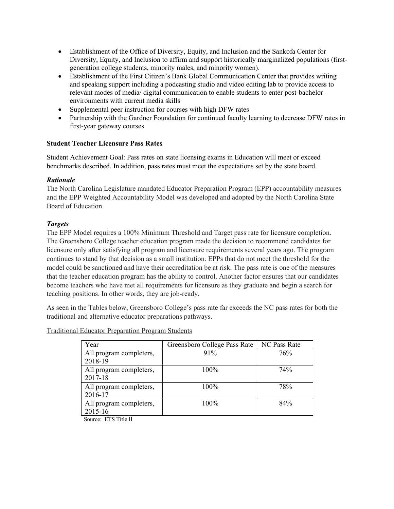- Establishment of the Office of Diversity, Equity, and Inclusion and the Sankofa Center for Diversity, Equity, and Inclusion to affirm and support historically marginalized populations (firstgeneration college students, minority males, and minority women).
- Establishment of the First Citizen's Bank Global Communication Center that provides writing and speaking support including a podcasting studio and video editing lab to provide access to relevant modes of media/ digital communication to enable students to enter post-bachelor environments with current media skills
- Supplemental peer instruction for courses with high DFW rates
- Partnership with the Gardner Foundation for continued faculty learning to decrease DFW rates in first-year gateway courses

# **Student Teacher Licensure Pass Rates**

Student Achievement Goal: Pass rates on state licensing exams in Education will meet or exceed benchmarks described. In addition, pass rates must meet the expectations set by the state board.

# *Rationale*

The North Carolina Legislature mandated Educator Preparation Program (EPP) accountability measures and the EPP Weighted Accountability Model was developed and adopted by the North Carolina State Board of Education.

# *Targets*

The EPP Model requires a 100% Minimum Threshold and Target pass rate for licensure completion. The Greensboro College teacher education program made the decision to recommend candidates for licensure only after satisfying all program and licensure requirements several years ago. The program continues to stand by that decision as a small institution. EPPs that do not meet the threshold for the model could be sanctioned and have their accreditation be at risk. The pass rate is one of the measures that the teacher education program has the ability to control. Another factor ensures that our candidates become teachers who have met all requirements for licensure as they graduate and begin a search for teaching positions. In other words, they are job-ready.

As seen in the Tables below, Greensboro College's pass rate far exceeds the NC pass rates for both the traditional and alternative educator preparations pathways.

| Year                               | Greensboro College Pass Rate | NC Pass Rate |
|------------------------------------|------------------------------|--------------|
| All program completers,<br>2018-19 | 91%                          | 76%          |
| All program completers,<br>2017-18 | 100%                         | 74%          |
| All program completers,<br>2016-17 | 100%                         | 78%          |
| All program completers,<br>2015-16 | 100%                         | 84%          |

Traditional Educator Preparation Program Students

Source: ETS Title II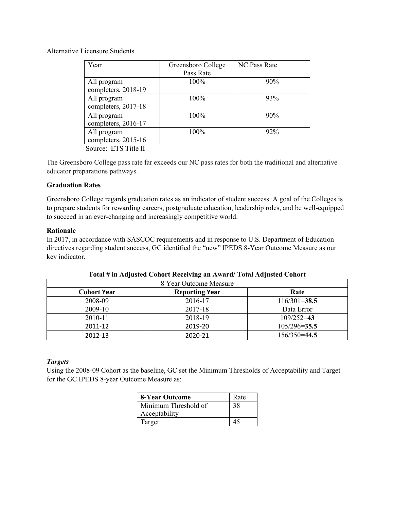### Alternative Licensure Students

| Year                        | Greensboro College | <b>NC Pass Rate</b> |
|-----------------------------|--------------------|---------------------|
|                             | Pass Rate          |                     |
| All program                 | 100%               | 90%                 |
| completers, 2018-19         |                    |                     |
| All program                 | 100%               | 93%                 |
| completers, 2017-18         |                    |                     |
| All program                 | 100%               | 90%                 |
| completers, 2016-17         |                    |                     |
| All program                 | 100%               | 92%                 |
| completers, 2015-16         |                    |                     |
| $\alpha$ <b>PTO T</b> 'A II |                    |                     |

Source: ETS Title II

The Greensboro College pass rate far exceeds our NC pass rates for both the traditional and alternative educator preparations pathways.

# **Graduation Rates**

Greensboro College regards graduation rates as an indicator of student success. A goal of the Colleges is to prepare students for rewarding careers, postgraduate education, leadership roles, and be well-equipped to succeed in an ever-changing and increasingly competitive world.

# **Rationale**

In 2017, in accordance with SASCOC requirements and in response to U.S. Department of Education directives regarding student success, GC identified the "new" IPEDS 8-Year Outcome Measure as our key indicator.

| 8 Year Outcome Measure |                       |                  |  |  |  |  |
|------------------------|-----------------------|------------------|--|--|--|--|
| <b>Cohort Year</b>     | <b>Reporting Year</b> | Rate             |  |  |  |  |
| 2008-09                | 2016-17               | $116/301 = 38.5$ |  |  |  |  |
| 2009-10                | 2017-18               | Data Error       |  |  |  |  |
| 2010-11                | 2018-19               | $109/252 = 43$   |  |  |  |  |
| 2011-12                | 2019-20               | $105/296 = 35.5$ |  |  |  |  |
| 2012-13                | 2020-21               | $156/350=44.5$   |  |  |  |  |

#### **Total # in Adjusted Cohort Receiving an Award/ Total Adjusted Cohort**

#### *Targets*

Using the 2008-09 Cohort as the baseline, GC set the Minimum Thresholds of Acceptability and Target for the GC IPEDS 8-year Outcome Measure as:

| 8-Year Outcome       | Rate |
|----------------------|------|
| Minimum Threshold of | 38   |
| Acceptability        |      |
| Target               |      |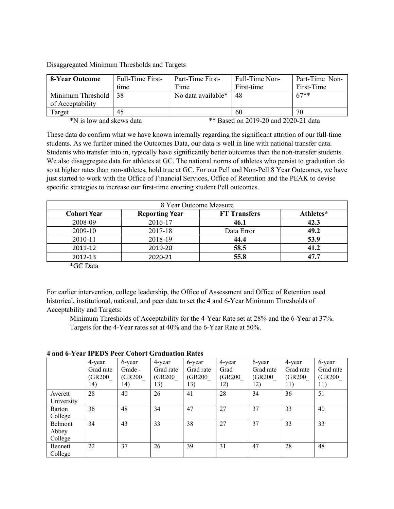Disaggregated Minimum Thresholds and Targets

| 8-Year Outcome                                                   | <b>Full-Time First-</b> | Part-Time First-   | Full-Time Non- | Part-Time Non- |  |
|------------------------------------------------------------------|-------------------------|--------------------|----------------|----------------|--|
|                                                                  | time                    | Time               | First-time     | First-Time     |  |
| Minimum Threshold                                                | 38                      | No data available* | 48             | $67**$         |  |
| of Acceptability                                                 |                         |                    |                |                |  |
| Target                                                           | 45                      |                    | 60             | 70             |  |
| *N is low and skews data<br>** Based on 2019-20 and 2020-21 data |                         |                    |                |                |  |

These data do confirm what we have known internally regarding the significant attrition of our full-time students. As we further mined the Outcomes Data, our data is well in line with national transfer data. Students who transfer into in, typically have significantly better outcomes than the non-transfer students. We also disaggregate data for athletes at GC. The national norms of athletes who persist to graduation do so at higher rates than non-athletes, hold true at GC. For our Pell and Non-Pell 8 Year Outcomes, we have just started to work with the Office of Financial Services, Office of Retention and the PEAK to devise specific strategies to increase our first-time entering student Pell outcomes.

| 8 Year Outcome Measure                                                          |         |            |      |  |  |  |
|---------------------------------------------------------------------------------|---------|------------|------|--|--|--|
| Athletes*<br><b>Reporting Year</b><br><b>FT Transfers</b><br><b>Cohort Year</b> |         |            |      |  |  |  |
| 2008-09                                                                         | 2016-17 | 46.1       | 42.3 |  |  |  |
| 2009-10                                                                         | 2017-18 | Data Error | 49.2 |  |  |  |
| 2010-11                                                                         | 2018-19 | 44.4       | 53.9 |  |  |  |
| 2011-12                                                                         | 2019-20 | 58.5       | 41.2 |  |  |  |
| 2012-13                                                                         | 2020-21 | 55.8       | 47.7 |  |  |  |

\*GC Data

For earlier intervention, college leadership, the Office of Assessment and Office of Retention used historical, institutional, national, and peer data to set the 4 and 6-Year Minimum Thresholds of Acceptability and Targets:

Minimum Thresholds of Acceptability for the 4-Year Rate set at 28% and the 6-Year at 37%. Targets for the 4-Year rates set at 40% and the 6-Year Rate at 50%.

|            | 4-year    | 6-year  | 4-year    | 6-year    | 4-year  | 6-year    | 4-year    | 6-year    |
|------------|-----------|---------|-----------|-----------|---------|-----------|-----------|-----------|
|            | Grad rate | Grade - | Grad rate | Grad rate | Grad    | Grad rate | Grad rate | Grad rate |
|            | (GR200)   | (GR200  | (GR200    | (GR200)   | (GR200) | (GR200)   | (GR200)   | (GR200)   |
|            | 14)       | 14)     | 13)       | 13)       | 12)     | 12)       | 11)       | 11)       |
| Averett    | 28        | 40      | 26        | 41        | 28      | 34        | 36        | 51        |
| University |           |         |           |           |         |           |           |           |
| Barton     | 36        | 48      | 34        | 47        | 27      | 37        | 33        | 40        |
| College    |           |         |           |           |         |           |           |           |
| Belmont    | 34        | 43      | 33        | 38        | 27      | 37        | 33        | 33        |
| Abbey      |           |         |           |           |         |           |           |           |
| College    |           |         |           |           |         |           |           |           |
| Bennett    | 22        | 37      | 26        | 39        | 31      | 47        | 28        | 48        |
| College    |           |         |           |           |         |           |           |           |

**4 and 6-Year IPEDS Peer Cohort Graduation Rates**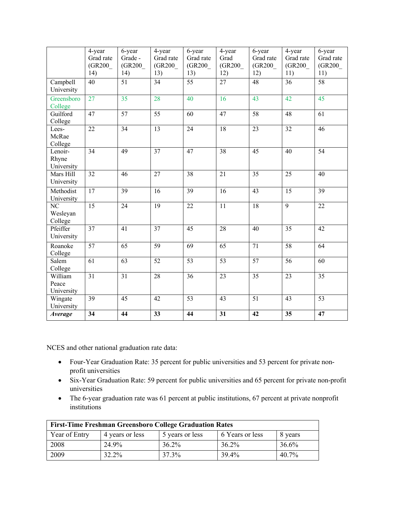|                                               | 4-year<br>Grad rate<br>(GR200)<br>14) | 6-year<br>Grade -<br>(GR200)<br>14) | 4-year<br>Grad rate<br>(GR200)<br>13) | 6-year<br>Grad rate<br>(GR200)<br>13) | 4-year<br>Grad<br>(GR200)<br>12) | 6-year<br>Grad rate<br>(GR200)<br>12) | 4-year<br>Grad rate<br>(GR200)<br>11) | 6-year<br>Grad rate<br>(GR200)<br>11) |
|-----------------------------------------------|---------------------------------------|-------------------------------------|---------------------------------------|---------------------------------------|----------------------------------|---------------------------------------|---------------------------------------|---------------------------------------|
| Campbell<br>University                        | $\overline{40}$                       | $\overline{51}$                     | $\overline{34}$                       | $\overline{55}$                       | $\overline{27}$                  | 48                                    | $\overline{36}$                       | 58                                    |
| Greensboro<br>College                         | 27                                    | 35                                  | 28                                    | 40                                    | 16                               | 43                                    | 42                                    | 45                                    |
| Guilford<br>College                           | 47                                    | 57                                  | 55                                    | 60                                    | 47                               | 58                                    | 48                                    | 61                                    |
| Lees-<br>McRae<br>College                     | 22                                    | 34                                  | 13                                    | 24                                    | 18                               | 23                                    | 32                                    | 46                                    |
| Lenoir-<br>Rhyne<br>University                | 34                                    | 49                                  | 37                                    | 47                                    | 38                               | 45                                    | 40                                    | 54                                    |
| Mars Hill<br>University                       | 32                                    | 46                                  | 27                                    | $\overline{38}$                       | $\overline{21}$                  | $\overline{35}$                       | $\overline{25}$                       | 40                                    |
| Methodist<br>University                       | 17                                    | 39                                  | 16                                    | 39                                    | 16                               | 43                                    | 15                                    | 39                                    |
| $\overline{\text{NC}}$<br>Wesleyan<br>College | $\overline{15}$                       | $\overline{24}$                     | $\overline{19}$                       | $\overline{22}$                       | $\overline{11}$                  | 18                                    | $\overline{9}$                        | $\overline{22}$                       |
| Pfeiffer<br>University                        | 37                                    | 41                                  | 37                                    | 45                                    | 28                               | 40                                    | 35                                    | 42                                    |
| Roanoke<br>College                            | 57                                    | 65                                  | 59                                    | 69                                    | 65                               | 71                                    | 58                                    | 64                                    |
| Salem<br>College                              | $\overline{61}$                       | $\overline{63}$                     | $\overline{52}$                       | $\overline{53}$                       | $\overline{53}$                  | $\overline{57}$                       | $\overline{56}$                       | 60                                    |
| William<br>Peace<br>University                | 31                                    | 31                                  | 28                                    | 36                                    | 23                               | 35                                    | 23                                    | 35                                    |
| Wingate<br>University                         | 39                                    | 45                                  | 42                                    | 53                                    | 43                               | 51                                    | 43                                    | 53                                    |
| Average                                       | 34                                    | 44                                  | 33                                    | 44                                    | 31                               | 42                                    | 35                                    | 47                                    |

NCES and other national graduation rate data:

- Four-Year Graduation Rate: 35 percent for public universities and 53 percent for private nonprofit universities
- Six-Year Graduation Rate: 59 percent for public universities and 65 percent for private non-profit universities
- The 6-year graduation rate was 61 percent at public institutions, 67 percent at private nonprofit institutions

| <b>First-Time Freshman Greensboro College Graduation Rates</b> |                 |                 |                 |         |  |  |
|----------------------------------------------------------------|-----------------|-----------------|-----------------|---------|--|--|
| Year of Entry                                                  | 4 years or less | 5 years or less | 6 Years or less | 8 years |  |  |
| 2008                                                           | 24.9%           | 36.2%           | 36.2%           | 36.6%   |  |  |
| 2009                                                           | 32.2%           | 37.3%           | 39.4%           | 40.7%   |  |  |